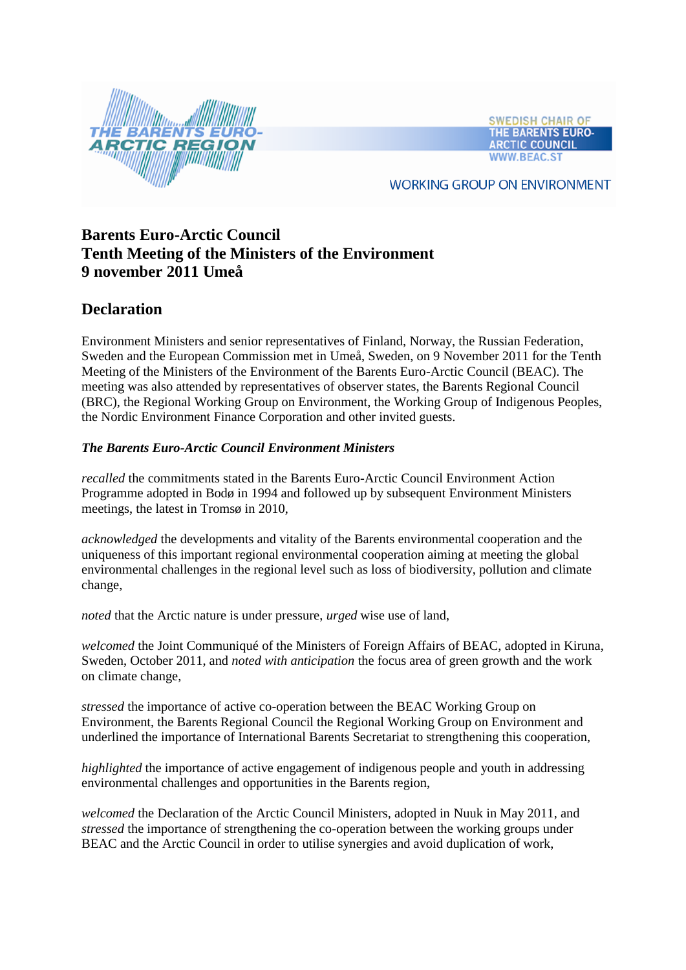

**SWEDISH CHAIR OF** THE BARENTS EURO-**ARCTIC COUNCIL WWW.BEAC.S** 

**WORKING GROUP ON ENVIRONMENT** 

# **Barents Euro-Arctic Council Tenth Meeting of the Ministers of the Environment 9 november 2011 Umeå**

# **Declaration**

Environment Ministers and senior representatives of Finland, Norway, the Russian Federation, Sweden and the European Commission met in Umeå, Sweden, on 9 November 2011 for the Tenth Meeting of the Ministers of the Environment of the Barents Euro-Arctic Council (BEAC). The meeting was also attended by representatives of observer states, the Barents Regional Council (BRC), the Regional Working Group on Environment, the Working Group of Indigenous Peoples, the Nordic Environment Finance Corporation and other invited guests.

# *The Barents Euro-Arctic Council Environment Ministers*

*recalled* the commitments stated in the Barents Euro-Arctic Council Environment Action Programme adopted in Bodø in 1994 and followed up by subsequent Environment Ministers meetings, the latest in Tromsø in 2010,

*acknowledged* the developments and vitality of the Barents environmental cooperation and the uniqueness of this important regional environmental cooperation aiming at meeting the global environmental challenges in the regional level such as loss of biodiversity, pollution and climate change,

*noted* that the Arctic nature is under pressure, *urged* wise use of land,

*welcomed* the Joint Communiqué of the Ministers of Foreign Affairs of BEAC, adopted in Kiruna, Sweden, October 2011, and *noted with anticipation* the focus area of green growth and the work on climate change,

*stressed* the importance of active co-operation between the BEAC Working Group on Environment, the Barents Regional Council the Regional Working Group on Environment and underlined the importance of International Barents Secretariat to strengthening this cooperation,

*highlighted* the importance of active engagement of indigenous people and youth in addressing environmental challenges and opportunities in the Barents region,

*welcomed* the Declaration of the Arctic Council Ministers, adopted in Nuuk in May 2011, and *stressed* the importance of strengthening the co-operation between the working groups under BEAC and the Arctic Council in order to utilise synergies and avoid duplication of work,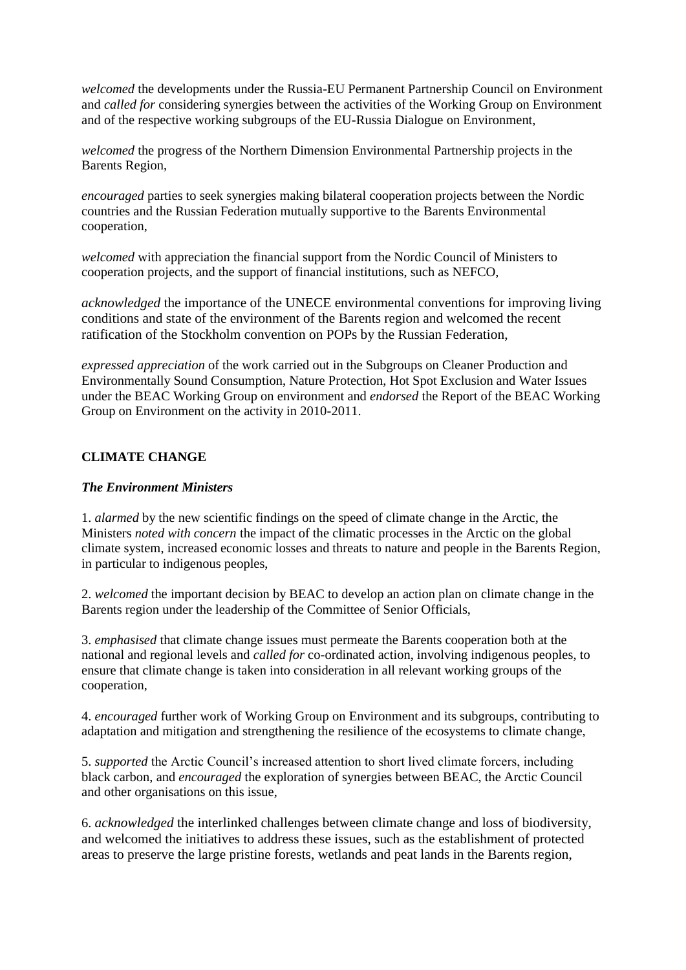*welcomed* the developments under the Russia-EU Permanent Partnership Council on Environment and *called for* considering synergies between the activities of the Working Group on Environment and of the respective working subgroups of the EU-Russia Dialogue on Environment,

*welcomed* the progress of the Northern Dimension Environmental Partnership projects in the Barents Region,

*encouraged* parties to seek synergies making bilateral cooperation projects between the Nordic countries and the Russian Federation mutually supportive to the Barents Environmental cooperation,

*welcomed* with appreciation the financial support from the Nordic Council of Ministers to cooperation projects, and the support of financial institutions, such as NEFCO,

*acknowledged* the importance of the UNECE environmental conventions for improving living conditions and state of the environment of the Barents region and welcomed the recent ratification of the Stockholm convention on POPs by the Russian Federation,

*expressed appreciation* of the work carried out in the Subgroups on Cleaner Production and Environmentally Sound Consumption, Nature Protection, Hot Spot Exclusion and Water Issues under the BEAC Working Group on environment and *endorsed* the Report of the BEAC Working Group on Environment on the activity in 2010-2011.

## **CLIMATE CHANGE**

#### *The Environment Ministers*

1. *alarmed* by the new scientific findings on the speed of climate change in the Arctic, the Ministers *noted with concern* the impact of the climatic processes in the Arctic on the global climate system, increased economic losses and threats to nature and people in the Barents Region, in particular to indigenous peoples,

2. *welcomed* the important decision by BEAC to develop an action plan on climate change in the Barents region under the leadership of the Committee of Senior Officials,

3. *emphasised* that climate change issues must permeate the Barents cooperation both at the national and regional levels and *called for* co-ordinated action, involving indigenous peoples, to ensure that climate change is taken into consideration in all relevant working groups of the cooperation,

4. *encouraged* further work of Working Group on Environment and its subgroups, contributing to adaptation and mitigation and strengthening the resilience of the ecosystems to climate change,

5. *supported* the Arctic Council's increased attention to short lived climate forcers, including black carbon, and *encouraged* the exploration of synergies between BEAC, the Arctic Council and other organisations on this issue,

6. *acknowledged* the interlinked challenges between climate change and loss of biodiversity, and welcomed the initiatives to address these issues, such as the establishment of protected areas to preserve the large pristine forests, wetlands and peat lands in the Barents region,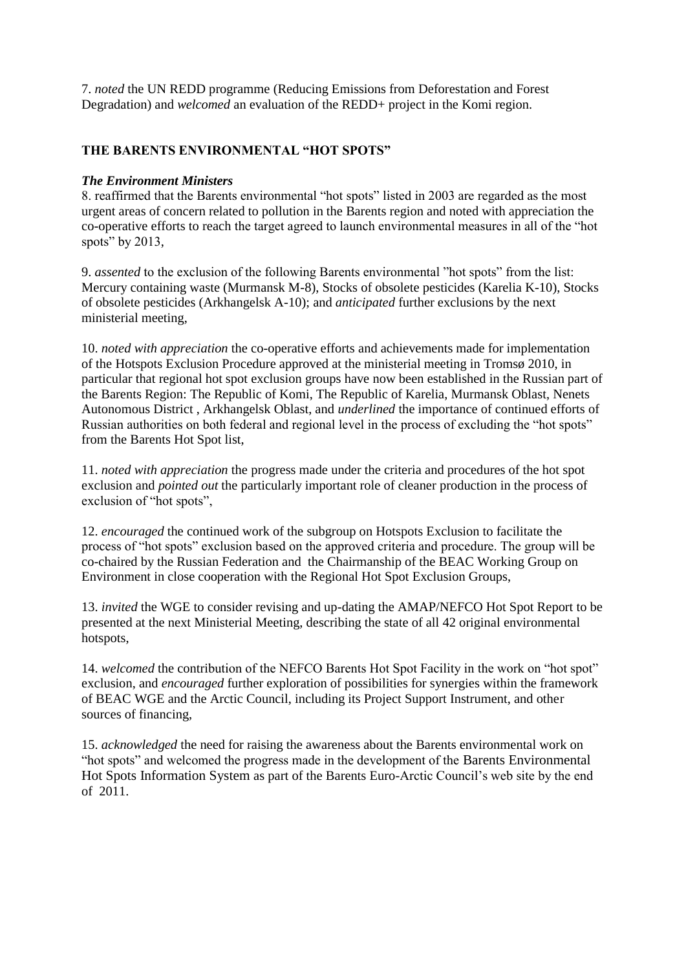7. *noted* the UN REDD programme (Reducing Emissions from Deforestation and Forest Degradation) and *welcomed* an evaluation of the REDD+ project in the Komi region.

## **THE BARENTS ENVIRONMENTAL "HOT SPOTS"**

#### *The Environment Ministers*

8. reaffirmed that the Barents environmental "hot spots" listed in 2003 are regarded as the most urgent areas of concern related to pollution in the Barents region and noted with appreciation the co-operative efforts to reach the target agreed to launch environmental measures in all of the "hot spots" by 2013,

9. *assented* to the exclusion of the following Barents environmental "hot spots" from the list: Mercury containing waste (Murmansk M-8), Stocks of obsolete pesticides (Karelia K-10), Stocks of obsolete pesticides (Arkhangelsk A-10); and *anticipated* further exclusions by the next ministerial meeting,

10. *noted with appreciation* the co-operative efforts and achievements made for implementation of the Hotspots Exclusion Procedure approved at the ministerial meeting in Tromsø 2010, in particular that regional hot spot exclusion groups have now been established in the Russian part of the Barents Region: The Republic of Komi, The Republic of Karelia, Murmansk Oblast, Nenets Autonomous District , Arkhangelsk Oblast, and *underlined* the importance of continued efforts of Russian authorities on both federal and regional level in the process of excluding the "hot spots" from the Barents Hot Spot list,

11. *noted with appreciation* the progress made under the criteria and procedures of the hot spot exclusion and *pointed out* the particularly important role of cleaner production in the process of exclusion of "hot spots",

12. *encouraged* the continued work of the subgroup on Hotspots Exclusion to facilitate the process of "hot spots" exclusion based on the approved criteria and procedure. The group will be co-chaired by the Russian Federation and the Chairmanship of the BEAC Working Group on Environment in close cooperation with the Regional Hot Spot Exclusion Groups,

13. *invited* the WGE to consider revising and up-dating the AMAP/NEFCO Hot Spot Report to be presented at the next Ministerial Meeting, describing the state of all 42 original environmental hotspots,

14. *welcomed* the contribution of the NEFCO Barents Hot Spot Facility in the work on "hot spot" exclusion, and *encouraged* further exploration of possibilities for synergies within the framework of BEAC WGE and the Arctic Council, including its Project Support Instrument, and other sources of financing,

15. *acknowledged* the need for raising the awareness about the Barents environmental work on "hot spots" and welcomed the progress made in the development of the Barents Environmental Hot Spots Information System as part of the Barents Euro-Arctic Council's web site by the end of 2011.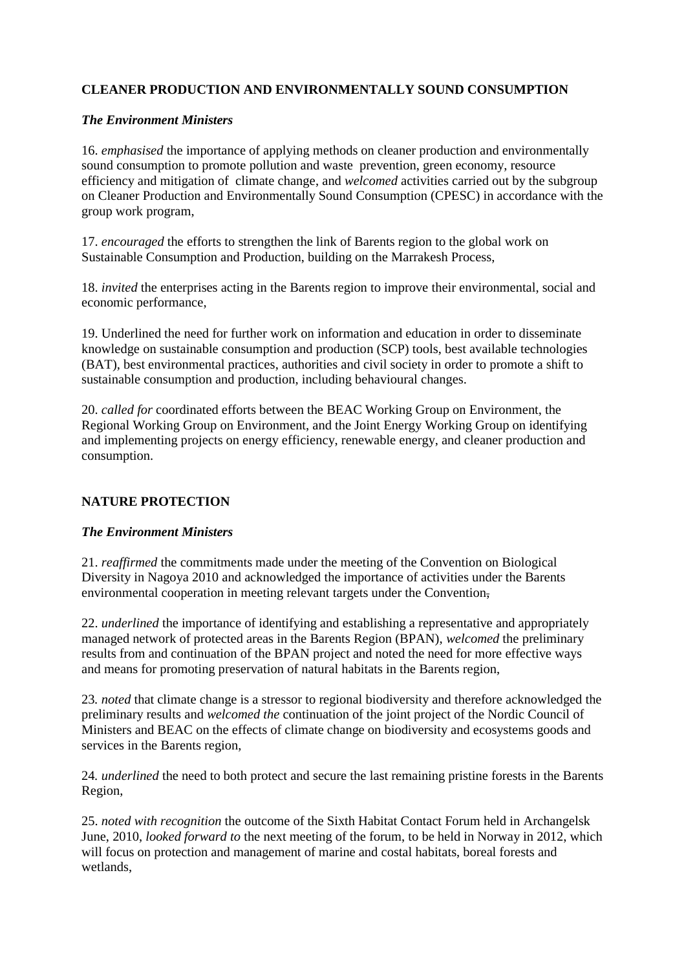# **CLEANER PRODUCTION AND ENVIRONMENTALLY SOUND CONSUMPTION**

## *The Environment Ministers*

16. *emphasised* the importance of applying methods on cleaner production and environmentally sound consumption to promote pollution and waste prevention, green economy, resource efficiency and mitigation of climate change, and *welcomed* activities carried out by the subgroup on Cleaner Production and Environmentally Sound Consumption (CPESC) in accordance with the group work program,

17. *encouraged* the efforts to strengthen the link of Barents region to the global work on Sustainable Consumption and Production, building on the Marrakesh Process,

18. *invited* the enterprises acting in the Barents region to improve their environmental, social and economic performance,

19. Underlined the need for further work on information and education in order to disseminate knowledge on sustainable consumption and production (SCP) tools, best available technologies (BAT), best environmental practices, authorities and civil society in order to promote a shift to sustainable consumption and production, including behavioural changes.

20. *called for* coordinated efforts between the BEAC Working Group on Environment, the Regional Working Group on Environment, and the Joint Energy Working Group on identifying and implementing projects on energy efficiency, renewable energy, and cleaner production and consumption.

# **NATURE PROTECTION**

#### *The Environment Ministers*

21. *reaffirmed* the commitments made under the meeting of the Convention on Biological Diversity in Nagoya 2010 and acknowledged the importance of activities under the Barents environmental cooperation in meeting relevant targets under the Convention,

22. *underlined* the importance of identifying and establishing a representative and appropriately managed network of protected areas in the Barents Region (BPAN), *welcomed* the preliminary results from and continuation of the BPAN project and noted the need for more effective ways and means for promoting preservation of natural habitats in the Barents region,

23*. noted* that climate change is a stressor to regional biodiversity and therefore acknowledged the preliminary results and *welcomed the* continuation of the joint project of the Nordic Council of Ministers and BEAC on the effects of climate change on biodiversity and ecosystems goods and services in the Barents region,

24*. underlined* the need to both protect and secure the last remaining pristine forests in the Barents Region,

25. *noted with recognition* the outcome of the Sixth Habitat Contact Forum held in Archangelsk June, 2010, *looked forward to* the next meeting of the forum, to be held in Norway in 2012, which will focus on protection and management of marine and costal habitats, boreal forests and wetlands,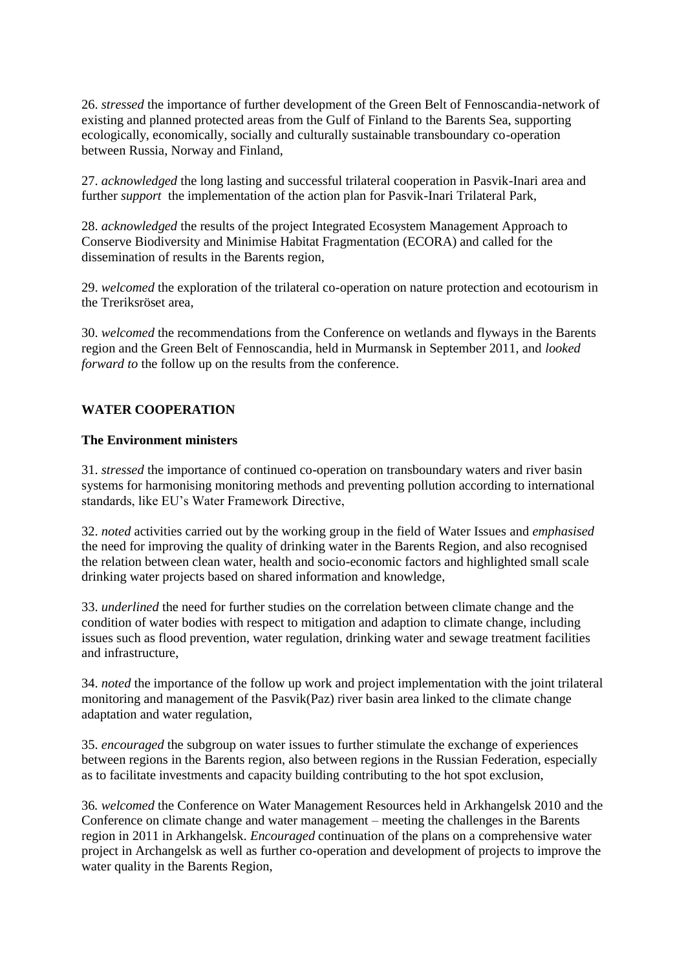26. *stressed* the importance of further development of the Green Belt of Fennoscandia-network of existing and planned protected areas from the Gulf of Finland to the Barents Sea, supporting ecologically, economically, socially and culturally sustainable transboundary co-operation between Russia, Norway and Finland,

27. *acknowledged* the long lasting and successful trilateral cooperation in Pasvik-Inari area and further *support* the implementation of the action plan for Pasvik-Inari Trilateral Park,

28. *acknowledged* the results of the project Integrated Ecosystem Management Approach to Conserve Biodiversity and Minimise Habitat Fragmentation (ECORA) and called for the dissemination of results in the Barents region,

29. *welcomed* the exploration of the trilateral co-operation on nature protection and ecotourism in the Treriksröset area,

30. *welcomed* the recommendations from the Conference on wetlands and flyways in the Barents region and the Green Belt of Fennoscandia, held in Murmansk in September 2011, and *looked forward to* the follow up on the results from the conference.

## **WATER COOPERATION**

#### **The Environment ministers**

31. *stressed* the importance of continued co-operation on transboundary waters and river basin systems for harmonising monitoring methods and preventing pollution according to international standards, like EU's Water Framework Directive,

32. *noted* activities carried out by the working group in the field of Water Issues and *emphasised* the need for improving the quality of drinking water in the Barents Region, and also recognised the relation between clean water, health and socio-economic factors and highlighted small scale drinking water projects based on shared information and knowledge,

33. *underlined* the need for further studies on the correlation between climate change and the condition of water bodies with respect to mitigation and adaption to climate change, including issues such as flood prevention, water regulation, drinking water and sewage treatment facilities and infrastructure,

34. *noted* the importance of the follow up work and project implementation with the joint trilateral monitoring and management of the Pasvik(Paz) river basin area linked to the climate change adaptation and water regulation,

35. *encouraged* the subgroup on water issues to further stimulate the exchange of experiences between regions in the Barents region, also between regions in the Russian Federation, especially as to facilitate investments and capacity building contributing to the hot spot exclusion,

36*. welcomed* the Conference on Water Management Resources held in Arkhangelsk 2010 and the Conference on climate change and water management – meeting the challenges in the Barents region in 2011 in Arkhangelsk. *Encouraged* continuation of the plans on a comprehensive water project in Archangelsk as well as further co-operation and development of projects to improve the water quality in the Barents Region,